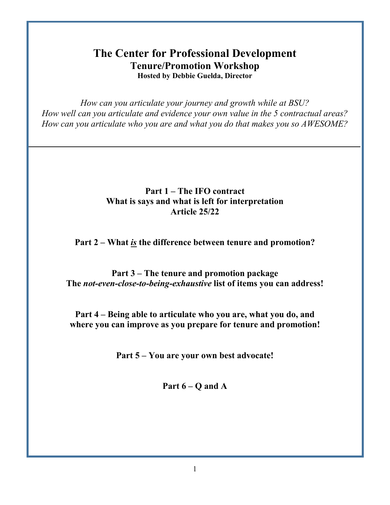# **The Center for Professional Development Tenure/Promotion Workshop Hosted by Debbie Guelda, Director**

*How can you articulate your journey and growth while at BSU? How well can you articulate and evidence your own value in the 5 contractual areas? How can you articulate who you are and what you do that makes you so AWESOME?*

#### **Part 1 – The IFO contract What is says and what is left for interpretation Article 25/22**

**Part 2 – What** *is* **the difference between tenure and promotion?**

**Part 3 – The tenure and promotion package The** *not-even-close-to-being-exhaustive* **list of items you can address!**

**Part 4 – Being able to articulate who you are, what you do, and where you can improve as you prepare for tenure and promotion!**

**Part 5 – You are your own best advocate!**

**Part 6 – Q and A**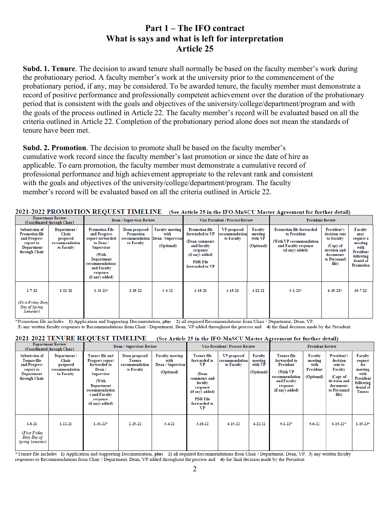#### **Part 1 – The IFO contract What is says and what is left for interpretation Article 25**

**Subd. 1. Tenure**. The decision to award tenure shall normally be based on the faculty member's work during the probationary period. A faculty member's work at the university prior to the commencement of the probationary period, if any, may be considered. To be awarded tenure, the faculty member must demonstrate a record of positive performance and professionally competent achievement over the duration of the probationary period that is consistent with the goals and objectives of the university/college/department/program and with the goals of the process outlined in Article 22. The faculty member's record will be evaluated based on all the criteria outlined in Article 22. Completion of the probationary period alone does not mean the standards of tenure have been met.

**Subd. 2. Promotion**. The decision to promote shall be based on the faculty member's cumulative work record since the faculty member's last promotion or since the date of hire as applicable. To earn promotion, the faculty member must demonstrate a cumulative record of professional performance and high achievement appropriate to the relevant rank and consistent with the goals and objectives of the university/college/department/program. The faculty member's record will be evaluated based on all the criteria outlined in Article 22.

| 2021-2022 PROMOTION REQUEST TIMELINE (See Article 25 in the IFO-MnSCU Master Agreement for further detail) |  |
|------------------------------------------------------------------------------------------------------------|--|
|                                                                                                            |  |

| <b>Department Review</b><br>(Coordinated through Chair)                                                   |                                                                          | Dean / Supervisor Review                                                                                                                                                            |                                                            |                                                                   | <b>Vice President / Provost Review</b>                                                                                                         |                                                    |                                             | <b>President Review</b>                                                                                               |                                                                                                              |                                                                                                           |
|-----------------------------------------------------------------------------------------------------------|--------------------------------------------------------------------------|-------------------------------------------------------------------------------------------------------------------------------------------------------------------------------------|------------------------------------------------------------|-------------------------------------------------------------------|------------------------------------------------------------------------------------------------------------------------------------------------|----------------------------------------------------|---------------------------------------------|-----------------------------------------------------------------------------------------------------------------------|--------------------------------------------------------------------------------------------------------------|-----------------------------------------------------------------------------------------------------------|
| Submission of<br><b>Promotion file</b><br>and Progress<br>report to<br><b>Department</b><br>through Chair | Department /<br><b>Chair</b><br>proposed<br>recommendation<br>to Faculty | <b>Promotion File</b><br>and Progress<br>report forwarded<br>to Dean /<br><b>Supervisor</b><br>(With<br>Department<br>recommendations<br>and Faculty<br>response<br>(if any) added) | Dean proposed<br>Promotion<br>recommendation<br>to Faculty | <b>Faculty meeting</b><br>with<br>Dean / Supervisor<br>(Optional) | <b>Promotion file</b><br>forwarded to VP<br>(Dean comments<br>and faculty<br>response<br>(if any) added)<br><b>PDR File</b><br>forwarded to VP | <b>VP</b> proposed<br>recommendation<br>to Faculty | Faculty<br>meeting<br>with VP<br>(Optional) | <b>Promotion file forwarded</b><br>to President<br>(With VP recommendation<br>and Faculty response<br>(if any) added) | President's<br>decision sent<br>to Faculty<br>(Copy of<br>decision and<br>documents<br>to Personnel<br>file) | Faculty<br>may<br>request a<br>meeting<br>with<br><b>President</b><br>following<br>denial of<br>Promotion |
| $1 - 7 - 22$<br>(First Friday Duty)<br>Day of Spring<br>Semester)                                         | 1-21-22                                                                  | $1-31-22+$                                                                                                                                                                          | 2 2 5 2 2                                                  | 3-4-22                                                            | $3 - 18 - 22$                                                                                                                                  | 4-15-22                                            | $4 - 22 - 22$                               | $5-1-22+$                                                                                                             | $6-15-22$ *                                                                                                  | 10-7-22                                                                                                   |

\*Promotion file includes 1) Application and Supporting Documentation, plus 2) all required Recommendations from Chair / Department, Dean, VP,

3) any written faculty responses to Recommendations from Chair / Department, Dean, VP added throughout the process and 4) the final decision made by the President.

#### **2021-2022 TENURE REQUEST TIMELINE** (See Article 25 in the IFO-MnSCU Master Agreement for further detail)

| <b>Department Review</b><br>(Coordinated through Chair)                                                |                                                                   | <b>Dean / Supervisor Review</b>                                                                                                                                    |                                                                |                                                                   | Vice President / Provost Review                                                                                                                             |                                                    |                                             | <b>President Review</b>                                                                                                      |                                                              |                                                                                                                 |                                                                                                             |
|--------------------------------------------------------------------------------------------------------|-------------------------------------------------------------------|--------------------------------------------------------------------------------------------------------------------------------------------------------------------|----------------------------------------------------------------|-------------------------------------------------------------------|-------------------------------------------------------------------------------------------------------------------------------------------------------------|----------------------------------------------------|---------------------------------------------|------------------------------------------------------------------------------------------------------------------------------|--------------------------------------------------------------|-----------------------------------------------------------------------------------------------------------------|-------------------------------------------------------------------------------------------------------------|
| Submission of<br><b>Tenure file</b><br>and Progress<br>report to<br><b>Department</b><br>through Chair | Department /<br>Chair<br>proposed<br>recommendation<br>to Faculty | Tenure file and<br>Progress report<br>forwarded to<br>Dean/<br>Supervisor<br>(With<br>Department<br>recommendation<br>s and Faculty<br>response<br>(if any) added) | Dean proposed<br><b>Tenure</b><br>recommendation<br>to Faculty | <b>Faculty meeting</b><br>with<br>Dean / Supervisor<br>(Optional) | <b>Tenure</b> file<br>forwarded to<br><b>VP</b><br>(Dean<br>comments and<br>faculty<br>response<br>(if any) added)<br><b>PDR File</b><br>forwarded to<br>VP | <b>VP</b> proposed<br>recommendation<br>to Faculty | Faculty<br>meeting<br>with VP<br>(Optional) | <b>Tenure file</b><br>forwarded to<br>President<br>(With VP)<br>recommendation<br>and Faculty<br>response<br>(if any) added) | <b>Faculty</b><br>meeting<br>with<br>President<br>(Optional) | President's<br>decision<br>sent to<br>Faculty<br>(Copy of<br>decision and<br>documents<br>to Personnel<br>file) | <b>Faculty</b><br>request<br>for<br>meeting<br>with<br>President<br>following<br>denial of<br><b>Tenure</b> |
| $1 - 8 - 21$<br>(First Friday<br>Duty Day of<br><b>Spring Semester)</b>                                | 1-22-21                                                           | $1-31-22+$                                                                                                                                                         | 2 25 22                                                        | 3-4-22                                                            | 3-18-22                                                                                                                                                     | 4-15-22                                            | 4-22-22                                     | $5 - 1 - 22 +$                                                                                                               | $5.6 - 22$                                                   | $6-15-22$ *                                                                                                     | $1-15-23+$                                                                                                  |

\*Tenure file includes 1) Application and Supporting Documentation, plus 2) all required Recommendations from Chair / Department, Dean, VP, 3) any written faculty responses to Recommendations from Chair / Department, Dean, VP added throughout the process and 4) the final decision made by the President.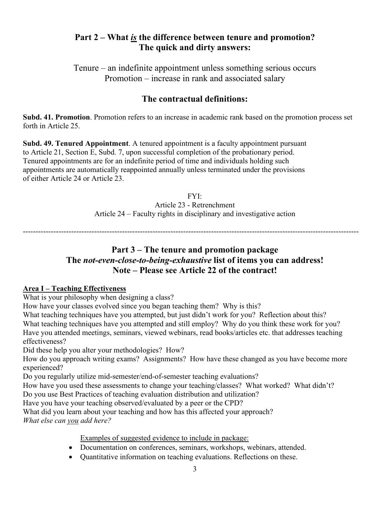#### **Part 2 – What** *is* **the difference between tenure and promotion? The quick and dirty answers:**

Tenure – an indefinite appointment unless something serious occurs Promotion – increase in rank and associated salary

## **The contractual definitions:**

**Subd. 41. Promotion**. Promotion refers to an increase in academic rank based on the promotion process set forth in Article 25.

**Subd. 49. Tenured Appointment**. A tenured appointment is a faculty appointment pursuant to Article 21, Section E, Subd. 7, upon successful completion of the probationary period. Tenured appointments are for an indefinite period of time and individuals holding such appointments are automatically reappointed annually unless terminated under the provisions of either Article 24 or Article 23.

> FYI: Article 23 - Retrenchment Article 24 – Faculty rights in disciplinary and investigative action

------------------------------------------------------------------------------------------------------------------------------------

#### **Part 3 – The tenure and promotion package The** *not-even-close-to-being-exhaustive* **list of items you can address! Note – Please see Article 22 of the contract!**

#### **Area I – Teaching Effectiveness**

What is your philosophy when designing a class?

How have your classes evolved since you began teaching them? Why is this?

What teaching techniques have you attempted, but just didn't work for you? Reflection about this? What teaching techniques have you attempted and still employ? Why do you think these work for you? Have you attended meetings, seminars, viewed webinars, read books/articles etc. that addresses teaching effectiveness?

Did these help you alter your methodologies? How?

How do you approach writing exams? Assignments? How have these changed as you have become more experienced?

Do you regularly utilize mid-semester/end-of-semester teaching evaluations?

How have you used these assessments to change your teaching/classes? What worked? What didn't?

Do you use Best Practices of teaching evaluation distribution and utilization?

Have you have your teaching observed/evaluated by a peer or the CPD?

What did you learn about your teaching and how has this affected your approach? *What else can you add here?*

Examples of suggested evidence to include in package:

- Documentation on conferences, seminars, workshops, webinars, attended.
- Ouantitative information on teaching evaluations. Reflections on these.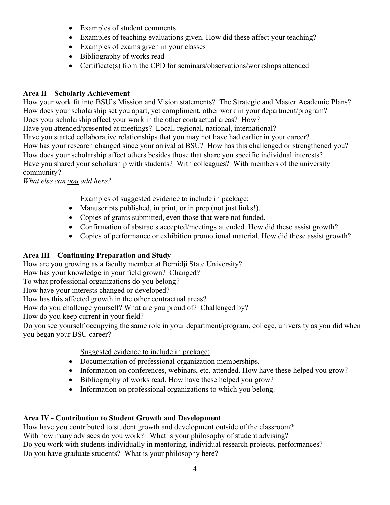- Examples of student comments
- Examples of teaching evaluations given. How did these affect your teaching?
- Examples of exams given in your classes
- Bibliography of works read
- Certificate(s) from the CPD for seminars/observations/workshops attended

#### **Area II – Scholarly Achievement**

How your work fit into BSU's Mission and Vision statements? The Strategic and Master Academic Plans? How does your scholarship set you apart, yet compliment, other work in your department/program? Does your scholarship affect your work in the other contractual areas? How? Have you attended/presented at meetings? Local, regional, national, international? Have you started collaborative relationships that you may not have had earlier in your career? How has your research changed since your arrival at BSU? How has this challenged or strengthened you? How does your scholarship affect others besides those that share you specific individual interests? Have you shared your scholarship with students? With colleagues? With members of the university community?

*What else can you add here?*

Examples of suggested evidence to include in package:

- Manuscripts published, in print, or in prep (not just links!).
- Copies of grants submitted, even those that were not funded.
- Confirmation of abstracts accepted/meetings attended. How did these assist growth?
- Copies of performance or exhibition promotional material. How did these assist growth?

#### **Area III – Continuing Preparation and Study**

How are you growing as a faculty member at Bemidji State University?

How has your knowledge in your field grown? Changed?

To what professional organizations do you belong?

How have your interests changed or developed?

How has this affected growth in the other contractual areas?

How do you challenge yourself? What are you proud of? Challenged by?

How do you keep current in your field?

Do you see yourself occupying the same role in your department/program, college, university as you did when you began your BSU career?

Suggested evidence to include in package:

- Documentation of professional organization memberships.
- Information on conferences, webinars, etc. attended. How have these helped you grow?
- Bibliography of works read. How have these helped you grow?
- Information on professional organizations to which you belong.

#### **Area IV - Contribution to Student Growth and Development**

How have you contributed to student growth and development outside of the classroom? With how many advisees do you work? What is your philosophy of student advising? Do you work with students individually in mentoring, individual research projects, performances? Do you have graduate students? What is your philosophy here?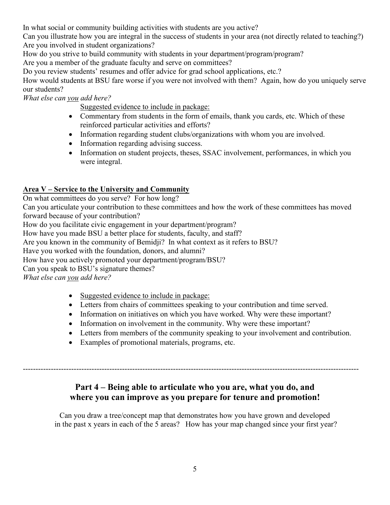In what social or community building activities with students are you active?

Can you illustrate how you are integral in the success of students in your area (not directly related to teaching?) Are you involved in student organizations?

How do you strive to build community with students in your department/program/program?

Are you a member of the graduate faculty and serve on committees?

Do you review students' resumes and offer advice for grad school applications, etc.?

How would students at BSU fare worse if you were not involved with them? Again, how do you uniquely serve our students?

*What else can you add here?*

Suggested evidence to include in package:

- Commentary from students in the form of emails, thank you cards, etc. Which of these reinforced particular activities and efforts?
- Information regarding student clubs/organizations with whom you are involved.
- Information regarding advising success.
- Information on student projects, theses, SSAC involvement, performances, in which you were integral.

#### **Area V – Service to the University and Community**

On what committees do you serve? For how long?

Can you articulate your contribution to these committees and how the work of these committees has moved forward because of your contribution?

How do you facilitate civic engagement in your department/program?

How have you made BSU a better place for students, faculty, and staff?

Are you known in the community of Bemidji? In what context as it refers to BSU?

Have you worked with the foundation, donors, and alumni?

How have you actively promoted your department/program/BSU?

Can you speak to BSU's signature themes?

*What else can you add here?*

- Suggested evidence to include in package:
- Letters from chairs of committees speaking to your contribution and time served.
- Information on initiatives on which you have worked. Why were these important?
- Information on involvement in the community. Why were these important?
- Letters from members of the community speaking to your involvement and contribution.
- Examples of promotional materials, programs, etc.

## **Part 4 – Being able to articulate who you are, what you do, and where you can improve as you prepare for tenure and promotion!**

------------------------------------------------------------------------------------------------------------------------------------

Can you draw a tree/concept map that demonstrates how you have grown and developed in the past x years in each of the 5 areas? How has your map changed since your first year?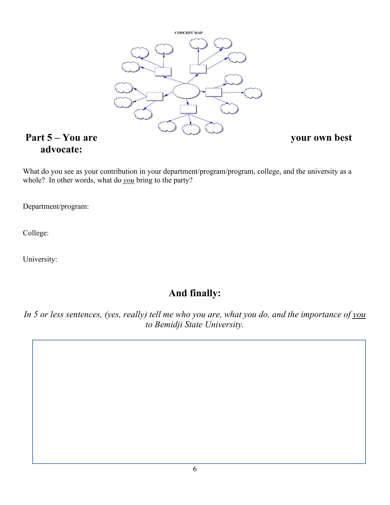

# **advocate:**

What do you see as your contribution in your department/program/program, college, and the university as a whole? In other words, what do *you* bring to the party?

Department/program:

College:

University:

# **And finally:**

*In 5 or less sentences, (yes, really) tell me who you are, what you do, and the importance of you to Bemidji State University.*